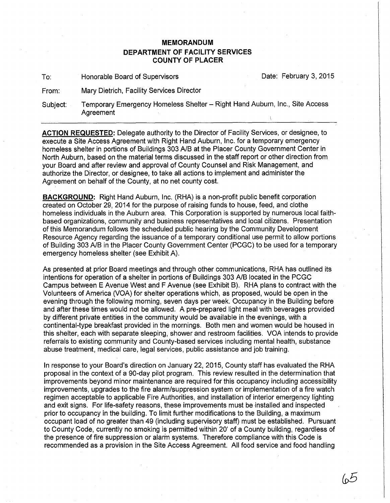## **MEMORANDUM DEPARTMENT OF FACILITY SERVICES COUNTY OF PLACER**

To: Honorable Board of Supervisors Date: February 3, 2015

From: Mary Dietrich, Facility Services Director

Subject: Temporary Emergency Homeless Shelter- Right Hand Auburn, Inc., Site Access Agreement

**ACTION REQUESTED:** Delegate authority to the Director of Facility Services, or designee, to execute a Site Access Agreement with Right Hand Auburn, Inc. for a temporary emergency homeless shelter in portions of Buildings 303 AlB at the Placer County Government Center in North Auburn, based on the material terms discussed in the staff report or other direction from your Board and after review and approval of County Counsel and Risk Management, and authorize the Director, or designee, to take all actions to implement and administer the Agreement on behalf of the County, at no net county cost.

**BACKGROUND:** Right Hand Auburn, Inc. (RHA) is a non-profit public benefit corporation created on October 29, 2014 for the purpose of raising funds to house, feed, and clothe homeless individuals in the Auburn area. This Corporation is supported by numerous local faithbased organizations, community and business representatives and local citizens. Presentation of this Memorandum follows the scheduled public hearing by the Community Development Resource Agency regarding the issuance of a temporary conditional use permit to allow portions of Building 303 AlB in the Placer County Government Center (PCGC) to be used for a temporary emergency homeless shelter (see Exhibit A).

As presented at prior Board meetings and through other communications, RHA has outlined its intentions for operation of a shelter in portions of Buildings 303 AlB located in the PCGC Campus between E Avenue West and F Avenue (see Exhibit B). RHA plans to contract with the Volunteers of America (VOA) for shelter operations which, as proposed, would be open in the evening through the following morning, seven days per week. Occupancy in the Building before and after these times would not be allowed. A pre-prepared light meal with beverages provided by different private entities in the community would be available in the evenings, with a continental-type breakfast provided in the mornings. Both men and women would be housed in this shelter, each with separate sleeping, shower and restroom facilities. VOA intends to provide referrals to existing community and County-based services including mental health, substance abuse treatment, medical care, legal services, public assistance and job training.

In response to your Board's direction on January 22, 2015, County staff has evaluated the RHA proposal in the context of a 90-day pilot program. This review resulted in the determination that improvements beyond minor maintenance are required for this occupancy including accessibility improvements, upgrades to the fire alarm/suppression system or implementation of a fire watch regimen acceptable to applicable Fire Authorities, and installation of interior emergency lighting and exit signs. For life-safety reasons, these improvements must be installed and inspected prior to occupancy in the building. To limit further modifications to the Building, a maximum occupant load of no greater than 49 (including supervisory staff) must be established. Pursuant to County Code, currently no smoking is permitted within 20' of a County building, regardless of the presence of fire suppression or alarm systems. Therefore compliance with this Code is recommended as a provision in the Site Access Agreement. All food service and food handling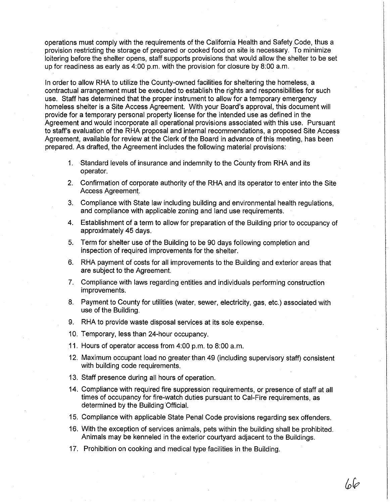operations must comply with the requirements of the California Health and Safety Code, thus a provision restricting the storage of prepared or cooked food on site is necessary. To minimize loitering before the shelter opens, staff supports provisions that would allow the shelter to be set up for readiness as early as  $4:00$  p.m. with the provision for closure by  $8:00$  a.m.

In order to allow RHA to utilize the County-owned facilities for sheltering the homeless, a contractual arrangement must be executed to establish the rights and responsibilities for such use. Staff has determined that the proper instrument to allow for a temporary emergency homeless shelter is a Site Access Agreement. With your Board's approval, this document will provide for a temporary personal property license for the intended use as defined in the Agreement and would incorporate all operational provisions associated with this use. Pursuant to staff's evaluation of the RHA proposal and internal recommendations, a proposed Site Access Agreement, available for review at the Clerk of the Board in advance of this meeting, has been prepared. As drafted, the Agreement includes the following material provisions:

- 1. Standard levels of insurance and indemnity to the County from RHA and its operator.
- 2. Confirmation of corporate authority of the RHA and its operator to enter into the Site Access Agreement.
- 3. Compliance with State law including building and environmental health regulations, and compliance with applicable zoning and land use requirements.
- 4. Establishment of a term to allow for preparation of the Building prior to occupancy of approximately 45 days.
- 5. Term for shelter use of the Building to be 90 days following completion and inspection of required improvements for the shelter.
- 6. RHA payment of costs for all improvements to the Building and exterior areas that are subject to the Agreement.
- 7. Compliance with laws regarding entities and individuals performing construction improvements.
- 8. Payment to County for utilities (water, sewer, electricity, gas, etc.) associated with use of the Building.
- 9. RHA to provide waste disposal services at its sole expense.
- 10. Temporary, less than 24-hour occupancy.
- 11. Hours of operator access from 4:00 p.m. to 8:00 a.m.
- 12. Maximum occupant load no greater than 49 (including supervisory staff) consistent with building code requirements.
- 13. Staff presence during all hours of operation.
- 14. Compliance with required fire suppression requirements, or presence of staff at all times of occupancy for fire-watch duties pursuant to Cal-Fire requirements, as determined by the Building 'Official.
- 15. Compliance with applicable State Penal Code provisions regarding sex offenders.
- 16. With the exception of services animals, pets within the building shall. be prohibited. Animals may be kenneled in the exterior courtyard adjacent to the Buildings.
- 17. Prohibition on cooking and medical type facilities in the Building.

6b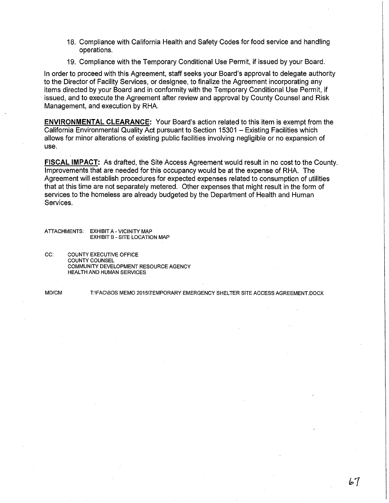- 18. Compliance with California Health and Safety Codes for food service and handling operations.
- 19. Compliance with the Temporary Conditional Use Permit, if issued by your Board.

In order to proceed with this Agreement, staff seeks your Board's approval to delegate authority to the Director of Facility Services, or designee, to finalize the Agreement incorporating any items directed by your Board and in conformity with the Temporary Conditional Use Permit, if issued, and to execute the Agreement after review and approval by County Counsel and Risk Management, and execution by RHA.

**ENVIRONMENTAL CLEARANCE:** Your Board's action related to this item is exempt from the California Environmental Quality Act pursuant to Section 15301 - Existing Facilities which allows for minor alterations of existing public facilities involving negligible or no expansion of use.

**FISCAL IMPACT:** As drafted, the Site Access Agreement would result in no cost to the County. Improvements that are needed for this occupancy would be at the expense of RHA. The Agreement will establish procedures for expected expenses related to consumption of utilities that at this time are not separately metered. Other expenses that might result in the form of services to the homeless are already budgeted by the Department of Health and Human Services.

ATTACHMENTS: EXHIBIT A- VICINITY MAP EXHIBIT B- SITE LOCATION MAP

CC: COUNTY EXECUTIVE OFFICE COUNTY COUNSEL COMMUNITY DEVELOPMENT RESOURCE AGENCY HEALTH AND HUMAN SERVICES

MD/CM T:\FAC\BOS MEMO 2015\TEMPORARY EMERGENCY SHELTER SITE ACCESS AGREEMENT.DOCX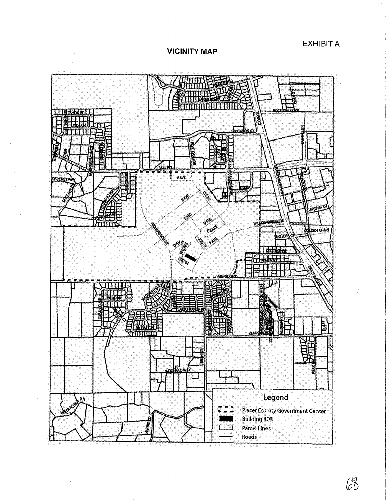EXHIBIT A

VICINITY MAP



68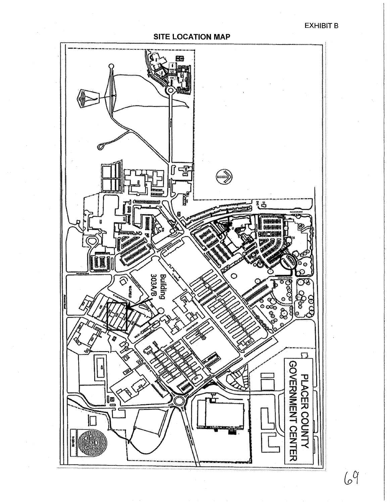EXHIBIT B

SITE LOCATION MAP Ø. 덓 **BE** រ៊ុំម៉ وَبِم  $\overline{\mathbf{z}}$ **SSS**  $\circ$ **A**<br>Building<br>Dinibility  $\widehat{\mathbin{\vartheta}}$  $rac{1}{2}$ **CONSTRUCTION** Ş  $\overline{\mathbb{S}}$ o.



 $69$